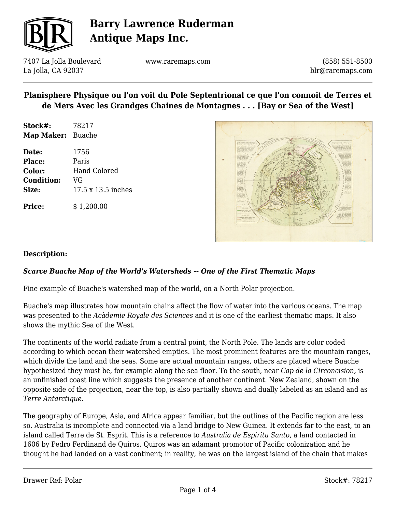

7407 La Jolla Boulevard La Jolla, CA 92037

www.raremaps.com

(858) 551-8500 blr@raremaps.com

### **Planisphere Physique ou l'on voit du Pole Septentrional ce que l'on connoit de Terres et de Mers Avec les Grandges Chaines de Montagnes . . . [Bay or Sea of the West]**

**Stock#:** 78217 **Map Maker:** Buache

**Date:** 1756 **Place:** Paris **Color:** Hand Colored **Condition:** VG **Size:** 17.5 x 13.5 inches

**Price:**  $$ 1,200.00$ 



#### **Description:**

### *Scarce Buache Map of the World's Watersheds -- One of the First Thematic Maps*

Fine example of Buache's watershed map of the world, on a North Polar projection.

Buache's map illustrates how mountain chains affect the flow of water into the various oceans. The map was presented to the *Acàdemie Royale des Sciences* and it is one of the earliest thematic maps. It also shows the mythic Sea of the West.

The continents of the world radiate from a central point, the North Pole. The lands are color coded according to which ocean their watershed empties. The most prominent features are the mountain ranges, which divide the land and the seas. Some are actual mountain ranges, others are placed where Buache hypothesized they must be, for example along the sea floor. To the south, near *Cap de la Circoncision,* is an unfinished coast line which suggests the presence of another continent. New Zealand, shown on the opposite side of the projection, near the top, is also partially shown and dually labeled as an island and as *Terre Antarctique*.

The geography of Europe, Asia, and Africa appear familiar, but the outlines of the Pacific region are less so. Australia is incomplete and connected via a land bridge to New Guinea. It extends far to the east, to an island called Terre de St. Esprit. This is a reference to *Australia de Espiritu Santo*, a land contacted in 1606 by Pedro Ferdinand de Quiros. Quiros was an adamant promotor of Pacific colonization and he thought he had landed on a vast continent; in reality, he was on the largest island of the chain that makes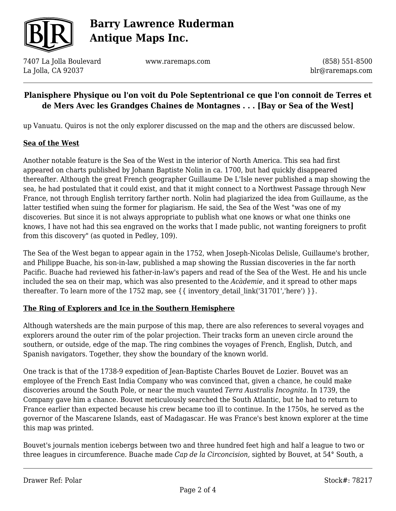

7407 La Jolla Boulevard La Jolla, CA 92037

www.raremaps.com

(858) 551-8500 blr@raremaps.com

## **Planisphere Physique ou l'on voit du Pole Septentrional ce que l'on connoit de Terres et de Mers Avec les Grandges Chaines de Montagnes . . . [Bay or Sea of the West]**

up Vanuatu. Quiros is not the only explorer discussed on the map and the others are discussed below.

#### **Sea of the West**

Another notable feature is the Sea of the West in the interior of North America. This sea had first appeared on charts published by Johann Baptiste Nolin in ca. 1700, but had quickly disappeared thereafter. Although the great French geographer Guillaume De L'Isle never published a map showing the sea, he had postulated that it could exist, and that it might connect to a Northwest Passage through New France, not through English territory farther north. Nolin had plagiarized the idea from Guillaume, as the latter testified when suing the former for plagiarism. He said, the Sea of the West "was one of my discoveries. But since it is not always appropriate to publish what one knows or what one thinks one knows, I have not had this sea engraved on the works that I made public, not wanting foreigners to profit from this discovery" (as quoted in Pedley, 109).

The Sea of the West began to appear again in the 1752, when Joseph-Nicolas Delisle, Guillaume's brother, and Philippe Buache, his son-in-law, published a map showing the Russian discoveries in the far north Pacific. Buache had reviewed his father-in-law's papers and read of the Sea of the West. He and his uncle included the sea on their map, which was also presented to the *Acàdemie*, and it spread to other maps thereafter. To learn more of the 1752 map, see  $\{\{\text{ inventory detail link('31701','here') }\}\}.$ 

#### **The Ring of Explorers and Ice in the Southern Hemisphere**

Although watersheds are the main purpose of this map, there are also references to several voyages and explorers around the outer rim of the polar projection. Their tracks form an uneven circle around the southern, or outside, edge of the map. The ring combines the voyages of French, English, Dutch, and Spanish navigators. Together, they show the boundary of the known world.

One track is that of the 1738-9 expedition of Jean-Baptiste Charles Bouvet de Lozier. Bouvet was an employee of the French East India Company who was convinced that, given a chance, he could make discoveries around the South Pole, or near the much vaunted *Terra Australis Incognita*. In 1739, the Company gave him a chance. Bouvet meticulously searched the South Atlantic, but he had to return to France earlier than expected because his crew became too ill to continue. In the 1750s, he served as the governor of the Mascarene Islands, east of Madagascar. He was France's best known explorer at the time this map was printed.

Bouvet's journals mention icebergs between two and three hundred feet high and half a league to two or three leagues in circumference. Buache made *Cap de la Circoncision,* sighted by Bouvet, at 54° South, a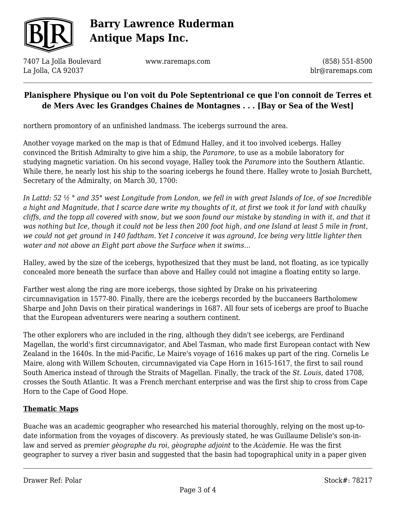

7407 La Jolla Boulevard La Jolla, CA 92037

www.raremaps.com

(858) 551-8500 blr@raremaps.com

## **Planisphere Physique ou l'on voit du Pole Septentrional ce que l'on connoit de Terres et de Mers Avec les Grandges Chaines de Montagnes . . . [Bay or Sea of the West]**

northern promontory of an unfinished landmass. The icebergs surround the area.

Another voyage marked on the map is that of Edmund Halley, and it too involved icebergs. Halley convinced the British Admiralty to give him a ship, the *Paramore,* to use as a mobile laboratory for studying magnetic variation. On his second voyage, Halley took the *Paramore* into the Southern Atlantic. While there, he nearly lost his ship to the soaring icebergs he found there. Halley wrote to Josiah Burchett, Secretary of the Admiralty, on March 30, 1700:

*In Lattd: 52 ½ ° and 35° west Longitude from London, we fell in with great Islands of Ice, of soe Incredible a hight and Magnitude, that I scarce dare write my thoughts of it, at first we took it for land with chaulky cliffs, and the topp all covered with snow, but we soon found our mistake by standing in with it, and that it was nothing but Ice, though it could not be less then 200 foot high, and one Island at least 5 mile in front, we could not get ground in 140 fadtham. Yet I conceive it was aground, Ice being very little lighter then water and not above an Eight part above the Surface when it swims…*

Halley, awed by the size of the icebergs, hypothesized that they must be land, not floating, as ice typically concealed more beneath the surface than above and Halley could not imagine a floating entity so large.

Farther west along the ring are more icebergs, those sighted by Drake on his privateering circumnavigation in 1577-80. Finally, there are the icebergs recorded by the buccaneers Bartholomew Sharpe and John Davis on their piratical wanderings in 1687. All four sets of icebergs are proof to Buache that the European adventurers were nearing a southern continent.

The other explorers who are included in the ring, although they didn't see icebergs, are Ferdinand Magellan, the world's first circumnavigator, and Abel Tasman, who made first European contact with New Zealand in the 1640s. In the mid-Pacific, Le Maire's voyage of 1616 makes up part of the ring. Cornelis Le Maire, along with Willem Schouten, circumnavigated via Cape Horn in 1615-1617, the first to sail round South America instead of through the Straits of Magellan. Finally, the track of the *St. Louis,* dated 1708, crosses the South Atlantic. It was a French merchant enterprise and was the first ship to cross from Cape Horn to the Cape of Good Hope.

## **Thematic Maps**

Buache was an academic geographer who researched his material thoroughly, relying on the most up-todate information from the voyages of discovery. As previously stated, he was Guillaume Delisle's son-inlaw and served as *premier gèographe du roi*, *gèographe adjoint* to the *Acàdemie.* He was the first geographer to survey a river basin and suggested that the basin had topographical unity in a paper given